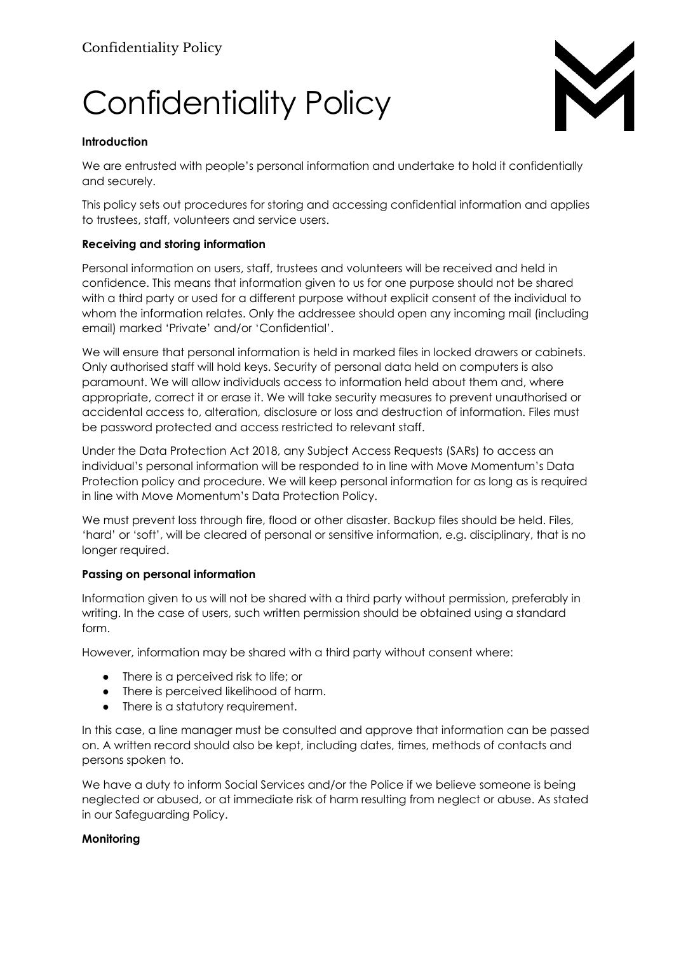# Confidentiality Policy



#### **Introduction**

We are entrusted with people's personal information and undertake to hold it confidentially and securely.

This policy sets out procedures for storing and accessing confidential information and applies to trustees, staff, volunteers and service users.

#### **Receiving and storing information**

Personal information on users, staff, trustees and volunteers will be received and held in confidence. This means that information given to us for one purpose should not be shared with a third party or used for a different purpose without explicit consent of the individual to whom the information relates. Only the addressee should open any incoming mail (including email) marked 'Private' and/or 'Confidential'.

We will ensure that personal information is held in marked files in locked drawers or cabinets. Only authorised staff will hold keys. Security of personal data held on computers is also paramount. We will allow individuals access to information held about them and, where appropriate, correct it or erase it. We will take security measures to prevent unauthorised or accidental access to, alteration, disclosure or loss and destruction of information. Files must be password protected and access restricted to relevant staff.

Under the Data Protection Act 2018, any Subject Access Requests (SARs) to access an individual's personal information will be responded to in line with Move Momentum's Data Protection policy and procedure. We will keep personal information for as long as is required in line with Move Momentum's Data Protection Policy.

We must prevent loss through fire, flood or other disaster. Backup files should be held. Files, 'hard' or 'soft', will be cleared of personal or sensitive information, e.g. disciplinary, that is no longer required.

#### **Passing on personal information**

Information given to us will not be shared with a third party without permission, preferably in writing. In the case of users, such written permission should be obtained using a standard form.

However, information may be shared with a third party without consent where:

- There is a perceived risk to life; or
- There is perceived likelihood of harm.
- There is a statutory requirement.

In this case, a line manager must be consulted and approve that information can be passed on. A written record should also be kept, including dates, times, methods of contacts and persons spoken to.

We have a duty to inform Social Services and/or the Police if we believe someone is being neglected or abused, or at immediate risk of harm resulting from neglect or abuse. As stated in our Safeguarding Policy.

### **Monitoring**